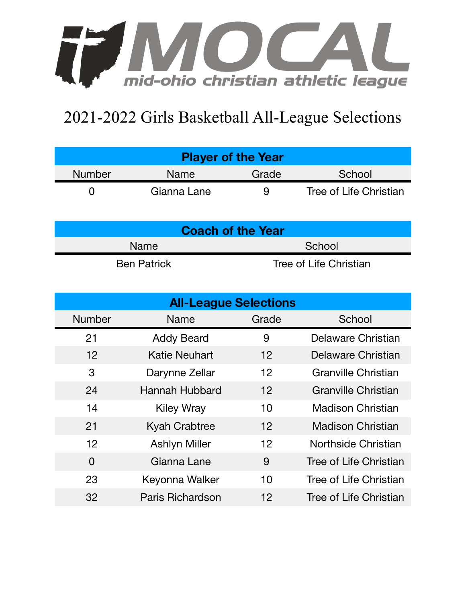

## 2021-2022 Girls Basketball All-League Selections

| <b>Player of the Year</b> |             |       |                        |  |  |  |
|---------------------------|-------------|-------|------------------------|--|--|--|
| <b>Number</b>             | Name        | Grade | School                 |  |  |  |
|                           | Gianna Lane | 9     | Tree of Life Christian |  |  |  |

| <b>Coach of the Year</b> |                        |  |  |  |
|--------------------------|------------------------|--|--|--|
| <b>Name</b>              | School                 |  |  |  |
| <b>Ben Patrick</b>       | Tree of Life Christian |  |  |  |

| <b>All-League Selections</b> |                      |         |                            |  |  |  |
|------------------------------|----------------------|---------|----------------------------|--|--|--|
| <b>Number</b>                | Name                 | Grade   | School                     |  |  |  |
| 21                           | <b>Addy Beard</b>    | 9       | Delaware Christian         |  |  |  |
| $12 \overline{ }$            | <b>Katie Neuhart</b> | 12      | Delaware Christian         |  |  |  |
| 3                            | Darynne Zellar       | 12      | Granville Christian        |  |  |  |
| 24                           | Hannah Hubbard       | 12      | <b>Granville Christian</b> |  |  |  |
| 14                           | <b>Kiley Wray</b>    | 10      | <b>Madison Christian</b>   |  |  |  |
| 21                           | <b>Kyah Crabtree</b> | 12      | <b>Madison Christian</b>   |  |  |  |
| 12                           | <b>Ashlyn Miller</b> | 12      | Northside Christian        |  |  |  |
| $\overline{0}$               | Gianna Lane          | 9       | Tree of Life Christian     |  |  |  |
| 23                           | Keyonna Walker       | 10      | Tree of Life Christian     |  |  |  |
| 32                           | Paris Richardson     | $12 \,$ | Tree of Life Christian     |  |  |  |